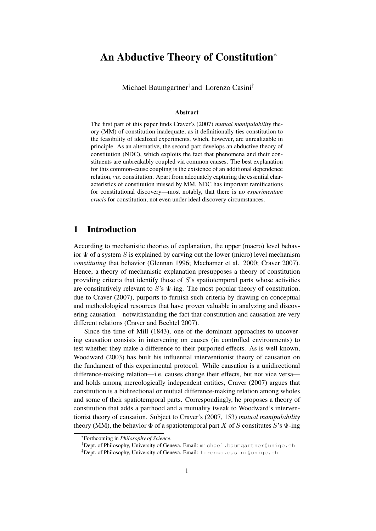# An Abductive Theory of Constitution<sup>∗</sup>

Michael Baumgartner† and Lorenzo Casini‡

#### Abstract

The first part of this paper finds Craver's [\(2007\)](#page-17-0) *mutual manipulability* theory (MM) of constitution inadequate, as it definitionally ties constitution to the feasibility of idealized experiments, which, however, are unrealizable in principle. As an alternative, the second part develops an abductive theory of constitution (NDC), which exploits the fact that phenomena and their constituents are unbreakably coupled via common causes. The best explanation for this common-cause coupling is the existence of an additional dependence relation, *viz.* constitution. Apart from adequately capturing the essential characteristics of constitution missed by MM, NDC has important ramifications for constitutional discovery—most notably, that there is no *experimentum crucis* for constitution, not even under ideal discovery circumstances.

# 1 Introduction

According to mechanistic theories of explanation, the upper (macro) level behavior  $\Psi$  of a system S is explained by carving out the lower (micro) level mechanism *constituting* that behavior [\(Glennan 1996;](#page-17-1) [Machamer et al. 2000;](#page-17-2) [Craver 2007\)](#page-17-0). Hence, a theory of mechanistic explanation presupposes a theory of constitution providing criteria that identify those of  $S$ 's spatiotemporal parts whose activities are constitutively relevant to S's  $\Psi$ -ing. The most popular theory of constitution, due to [Craver \(2007\)](#page-17-0), purports to furnish such criteria by drawing on conceptual and methodological resources that have proven valuable in analyzing and discovering causation—notwithstanding the fact that constitution and causation are very different relations [\(Craver and Bechtel 2007\)](#page-17-3).

Since the time of [Mill \(1843\)](#page-17-4), one of the dominant approaches to uncovering causation consists in intervening on causes (in controlled environments) to test whether they make a difference to their purported effects. As is well-known, [Woodward \(2003\)](#page-17-5) has built his influential interventionist theory of causation on the fundament of this experimental protocol. While causation is a unidirectional difference-making relation—i.e. causes change their effects, but not vice versa and holds among mereologically independent entities, [Craver \(2007\)](#page-17-0) argues that constitution is a bidirectional or mutual difference-making relation among wholes and some of their spatiotemporal parts. Correspondingly, he proposes a theory of constitution that adds a parthood and a mutuality tweak to Woodward's interventionist theory of causation. Subject to Craver's [\(2007,](#page-17-0) 153) *mutual manipulability* theory (MM), the behavior  $\Phi$  of a spatiotemporal part X of S constitutes S's  $\Psi$ -ing

<sup>∗</sup> Forthcoming in *Philosophy of Science*.

<sup>†</sup>Dept. of Philosophy, University of Geneva. Email: michael.baumgartner@unige.ch

<sup>‡</sup>Dept. of Philosophy, University of Geneva. Email: lorenzo.casini@unige.ch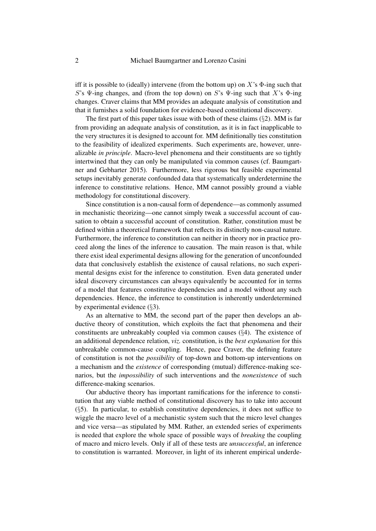iff it is possible to (ideally) intervene (from the bottom up) on X's  $\Phi$ -ing such that S's  $\Psi$ -ing changes, and (from the top down) on S's  $\Psi$ -ing such that X's  $\Phi$ -ing changes. Craver claims that MM provides an adequate analysis of constitution and that it furnishes a solid foundation for evidence-based constitutional discovery.

The first part of this paper takes issue with both of these claims  $(\S 2)$  $(\S 2)$ . MM is far from providing an adequate analysis of constitution, as it is in fact inapplicable to the very structures it is designed to account for. MM definitionally ties constitution to the feasibility of idealized experiments. Such experiments are, however, unrealizable *in principle*. Macro-level phenomena and their constituents are so tightly intertwined that they can only be manipulated via common causes (cf. [Baumgart](#page-17-6)[ner and Gebharter 2015\)](#page-17-6). Furthermore, less rigorous but feasible experimental setups inevitably generate confounded data that systematically underdetermine the inference to constitutive relations. Hence, MM cannot possibly ground a viable methodology for constitutional discovery.

Since constitution is a non-causal form of dependence—as commonly assumed in mechanistic theorizing—one cannot simply tweak a successful account of causation to obtain a successful account of constitution. Rather, constitution must be defined within a theoretical framework that reflects its distinctly non-causal nature. Furthermore, the inference to constitution can neither in theory nor in practice proceed along the lines of the inference to causation. The main reason is that, while there exist ideal experimental designs allowing for the generation of unconfounded data that conclusively establish the existence of causal relations, no such experimental designs exist for the inference to constitution. Even data generated under ideal discovery circumstances can always equivalently be accounted for in terms of a model that features constitutive dependencies and a model without any such dependencies. Hence, the inference to constitution is inherently underdetermined by experimental evidence (§[3\)](#page-6-0).

As an alternative to MM, the second part of the paper then develops an abductive theory of constitution, which exploits the fact that phenomena and their constituents are unbreakably coupled via common causes (§[4\)](#page-10-0). The existence of an additional dependence relation, *viz.* constitution, is the *best explanation* for this unbreakable common-cause coupling. Hence, pace Craver, the defining feature of constitution is not the *possibility* of top-down and bottom-up interventions on a mechanism and the *existence* of corresponding (mutual) difference-making scenarios, but the *impossibility* of such interventions and the *nonexistence* of such difference-making scenarios.

Our abductive theory has important ramifications for the inference to constitution that any viable method of constitutional discovery has to take into account (§[5\)](#page-14-0). In particular, to establish constitutive dependencies, it does not suffice to wiggle the macro level of a mechanistic system such that the micro level changes and vice versa—as stipulated by MM. Rather, an extended series of experiments is needed that explore the whole space of possible ways of *breaking* the coupling of macro and micro levels. Only if all of these tests are *unsuccessful*, an inference to constitution is warranted. Moreover, in light of its inherent empirical underde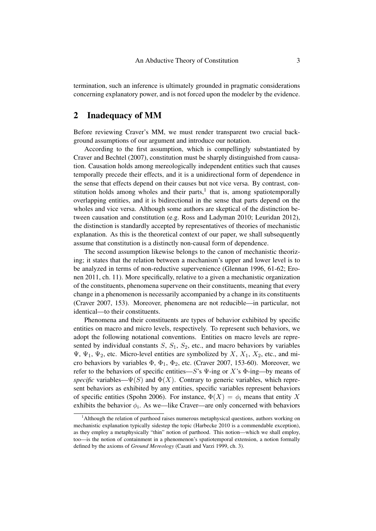termination, such an inference is ultimately grounded in pragmatic considerations concerning explanatory power, and is not forced upon the modeler by the evidence.

### <span id="page-2-0"></span>2 Inadequacy of MM

Before reviewing Craver's MM, we must render transparent two crucial background assumptions of our argument and introduce our notation.

According to the first assumption, which is compellingly substantiated by [Craver and Bechtel \(2007\)](#page-17-3), constitution must be sharply distinguished from causation. Causation holds among mereologically independent entities such that causes temporally precede their effects, and it is a unidirectional form of dependence in the sense that effects depend on their causes but not vice versa. By contrast, constitution holds among wholes and their parts, $<sup>1</sup>$  $<sup>1</sup>$  $<sup>1</sup>$  that is, among spatiotemporally</sup> overlapping entities, and it is bidirectional in the sense that parts depend on the wholes and vice versa. Although some authors are skeptical of the distinction between causation and constitution (e.g. [Ross and Ladyman 2010;](#page-17-7) [Leuridan 2012\)](#page-17-8), the distinction is standardly accepted by representatives of theories of mechanistic explanation. As this is the theoretical context of our paper, we shall subsequently assume that constitution is a distinctly non-causal form of dependence.

The second assumption likewise belongs to the canon of mechanistic theorizing; it states that the relation between a mechanism's upper and lower level is to be analyzed in terms of non-reductive supervenience [\(Glennan 1996,](#page-17-1) 61-62; [Ero](#page-17-9)[nen 2011,](#page-17-9) ch. 11). More specifically, relative to a given a mechanistic organization of the constituents, phenomena supervene on their constituents, meaning that every change in a phenomenon is necessarily accompanied by a change in its constituents [\(Craver 2007,](#page-17-0) 153). Moreover, phenomena are not reducible—in particular, not identical—to their constituents.

Phenomena and their constituents are types of behavior exhibited by specific entities on macro and micro levels, respectively. To represent such behaviors, we adopt the following notational conventions. Entities on macro levels are represented by individual constants  $S$ ,  $S_1$ ,  $S_2$ , etc., and macro behaviors by variables  $\Psi$ ,  $\Psi_1$ ,  $\Psi_2$ , etc. Micro-level entities are symbolized by X,  $X_1$ ,  $X_2$ , etc., and micro behaviors by variables  $\Phi$ ,  $\Phi_1$ ,  $\Phi_2$ , etc. [\(Craver 2007,](#page-17-0) 153-60). Moreover, we refer to the behaviors of specific entities—S's  $\Psi$ -ing or X's  $\Phi$ -ing—by means of *specific* variables— $\Psi(S)$  and  $\Phi(X)$ . Contrary to generic variables, which represent behaviors as exhibited by any entities, specific variables represent behaviors of specific entities [\(Spohn 2006\)](#page-17-10). For instance,  $\Phi(X) = \phi_i$  means that entity X exhibits the behavior  $\phi_i$ . As we—like Craver—are only concerned with behaviors

<span id="page-2-1"></span> $<sup>1</sup>$ Although the relation of parthood raises numerous metaphysical questions, authors working on</sup> mechanistic explanation typically sidestep the topic [\(Harbecke 2010](#page-17-11) is a commendable exception), as they employ a metaphysically "thin" notion of parthood. This notion—which we shall employ, too—is the notion of containment in a phenomenon's spatiotemporal extension, a notion formally defined by the axioms of *Ground Mereology* (Casati and Varzi [1999,](#page-17-12) ch. 3).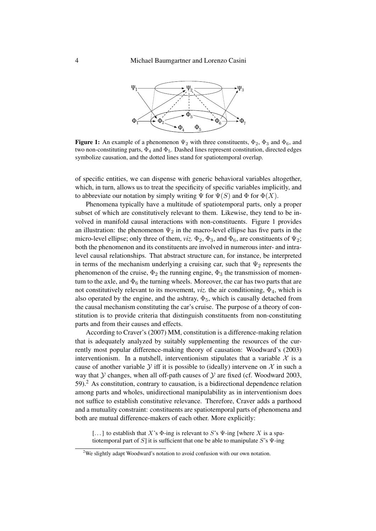<span id="page-3-0"></span>

**Figure 1:** An example of a phenomenon  $\Psi_2$  with three constituents,  $\Phi_2$ ,  $\Phi_3$  and  $\Phi_6$ , and two non-constituting parts,  $\Phi_4$  and  $\Phi_5$ . Dashed lines represent constitution, directed edges symbolize causation, and the dotted lines stand for spatiotemporal overlap.

of specific entities, we can dispense with generic behavioral variables altogether, which, in turn, allows us to treat the specificity of specific variables implicitly, and to abbreviate our notation by simply writing  $\Psi$  for  $\Psi(S)$  and  $\Phi$  for  $\Phi(X)$ .

Phenomena typically have a multitude of spatiotemporal parts, only a proper subset of which are constitutively relevant to them. Likewise, they tend to be involved in manifold causal interactions with non-constituents. Figure [1](#page-3-0) provides an illustration: the phenomenon  $\Psi_2$  in the macro-level ellipse has five parts in the micro-level ellipse; only three of them, *viz*.  $\Phi_2$ ,  $\Phi_3$ , and  $\Phi_6$ , are constituents of  $\Psi_2$ ; both the phenomenon and its constituents are involved in numerous inter- and intralevel causal relationships. That abstract structure can, for instance, be interpreted in terms of the mechanism underlying a cruising car, such that  $\Psi_2$  represents the phenomenon of the cruise,  $\Phi_2$  the running engine,  $\Phi_3$  the transmission of momentum to the axle, and  $\Phi_6$  the turning wheels. Moreover, the car has two parts that are not constitutively relevant to its movement, *viz*. the air conditioning,  $\Phi_4$ , which is also operated by the engine, and the ashtray,  $\Phi_5$ , which is causally detached from the causal mechanism constituting the car's cruise. The purpose of a theory of constitution is to provide criteria that distinguish constituents from non-constituting parts and from their causes and effects.

According to Craver's [\(2007\)](#page-17-0) MM, constitution is a difference-making relation that is adequately analyzed by suitably supplementing the resources of the currently most popular difference-making theory of causation: Woodward's [\(2003\)](#page-17-5) interventionism. In a nutshell, interventionism stipulates that a variable  $\mathcal X$  is a cause of another variable Y iff it is possible to (ideally) intervene on X in such a way that  $Y$  changes, when all off-path causes of  $Y$  are fixed (cf. [Woodward 2003,](#page-17-5) 59).[2](#page-3-1) As constitution, contrary to causation, is a bidirectional dependence relation among parts and wholes, unidirectional manipulability as in interventionism does not suffice to establish constitutive relevance. Therefore, Craver adds a parthood and a mutuality constraint: constituents are spatiotemporal parts of phenomena and both are mutual difference-makers of each other. More explicitly:

[...] to establish that X's  $\Phi$ -ing is relevant to S's  $\Psi$ -ing [where X is a spatiotemporal part of S] it is sufficient that one be able to manipulate S's  $\Psi$ -ing

<span id="page-3-1"></span><sup>&</sup>lt;sup>2</sup>We slightly adapt Woodward's notation to avoid confusion with our own notation.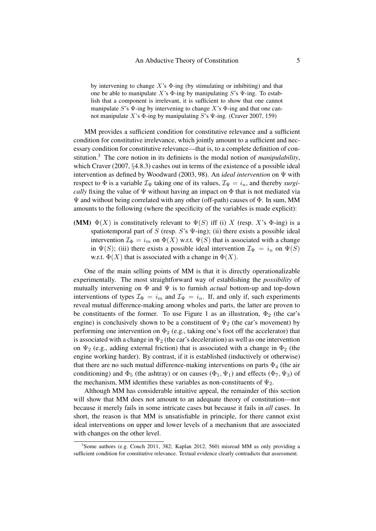by intervening to change  $X$ 's  $\Phi$ -ing (by stimulating or inhibiting) and that one be able to manipulate X's  $\Phi$ -ing by manipulating S's  $\Psi$ -ing. To establish that a component is irrelevant, it is sufficient to show that one cannot manipulate S's  $\Psi$ -ing by intervening to change X's  $\Phi$ -ing and that one can-not manipulate X's Φ-ing by manipulating S's Ψ-ing. [\(Craver 2007,](#page-17-0) 159)

MM provides a sufficient condition for constitutive relevance and a sufficient condition for constitutive irrelevance, which jointly amount to a sufficient and necessary condition for constitutive relevance—that is, to a complete definition of constitution.[3](#page-4-0) The core notion in its definiens is the modal notion of *manipulability*, which [Craver \(2007,](#page-17-0) §4.8.3) cashes out in terms of the existence of a possible ideal intervention as defined by [Woodward \(2003,](#page-17-5) 98). An *ideal intervention* on Ψ with respect to  $\Phi$  is a variable  $\mathcal{I}_{\Psi}$  taking one of its values,  $\mathcal{I}_{\Psi} = i_n$ , and thereby *surgically* fixing the value of  $\Psi$  without having an impact on  $\Phi$  that is not mediated via  $\Psi$  and without being correlated with any other (off-path) causes of  $\Phi$ . In sum, MM amounts to the following (where the specificity of the variables is made explicit):

<span id="page-4-1"></span>(MM)  $\Phi(X)$  is constitutively relevant to  $\Psi(S)$  iff (i) X (resp. X's  $\Phi$ -ing) is a spatiotemporal part of S (resp.  $S$ 's  $\Psi$ -ing); (ii) there exists a possible ideal intervention  $\mathcal{I}_{\Phi} = i_m$  on  $\Phi(X)$  w.r.t.  $\Psi(S)$  that is associated with a change in  $\Psi(S)$ ; (iii) there exists a possible ideal intervention  $\mathcal{I}_{\Psi} = i_n$  on  $\Psi(S)$ w.r.t.  $\Phi(X)$  that is associated with a change in  $\Phi(X)$ .

One of the main selling points of [MM](#page-4-1) is that it is directly operationalizable experimentally. The most straightforward way of establishing the *possibility* of mutually intervening on Φ and Ψ is to furnish *actual* bottom-up and top-down interventions of types  $\mathcal{I}_{\Phi} = i_m$  and  $\mathcal{I}_{\Psi} = i_n$ . If, and only if, such experiments reveal mutual difference-making among wholes and parts, the latter are proven to be constituents of the former. To use Figure [1](#page-3-0) as an illustration,  $\Phi_2$  (the car's engine) is conclusively shown to be a constituent of  $\Psi_2$  (the car's movement) by performing one intervention on  $\Phi_2$  (e.g., taking one's foot off the accelerator) that is associated with a change in  $\Psi_2$  (the car's deceleration) as well as one intervention on  $\Psi_2$  (e.g., adding external friction) that is associated with a change in  $\Phi_2$  (the engine working harder). By contrast, if it is established (inductively or otherwise) that there are no such mutual difference-making interventions on parts  $\Phi_4$  (the air conditioning) and  $\Phi_5$  (the ashtray) or on causes  $(\Phi_1, \Psi_1)$  and effects  $(\Phi_7, \Psi_3)$  of the mechanism, [MM](#page-4-1) identifies these variables as non-constituents of  $\Psi_2$ .

Although [MM](#page-4-1) has considerable intuitive appeal, the remainder of this section will show that [MM](#page-4-1) does not amount to an adequate theory of constitution—not because it merely fails in some intricate cases but because it fails in *all* cases. In short, the reason is that [MM](#page-4-1) is unsatisfiable in principle, for there cannot exist ideal interventions on upper and lower levels of a mechanism that are associated with changes on the other level.

<span id="page-4-0"></span><sup>&</sup>lt;sup>3</sup>Some authors (e.g. [Couch 2011,](#page-17-13) 382; [Kaplan 2012,](#page-17-14) 560) misread MM as only providing a sufficient condition for constitutive relevance. Textual evidence clearly contradicts that assessment.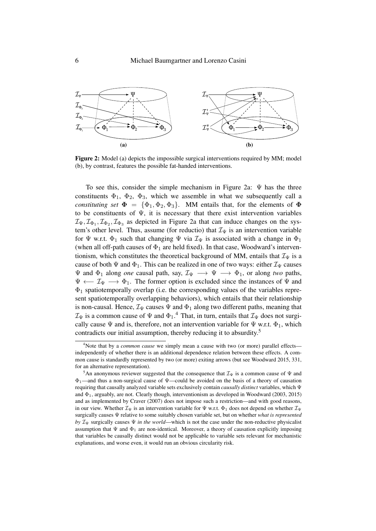<span id="page-5-0"></span>

Figure 2: Model (a) depicts the impossible surgical interventions required by [MM;](#page-4-1) model (b), by contrast, features the possible fat-handed interventions.

To see this, consider the simple mechanism in Figure [2a](#page-5-0):  $\Psi$  has the three constituents  $\Phi_1$ ,  $\Phi_2$ ,  $\Phi_3$ , which we assemble in what we subsequently call a *constituting set*  $\Phi = {\Phi_1, \Phi_2, \Phi_3}$ . [MM](#page-4-1) entails that, for the elements of  $\Phi$ to be constituents of  $\Psi$ , it is necessary that there exist intervention variables  $\mathcal{I}_{\Psi}, \mathcal{I}_{\Phi_1}, \mathcal{I}_{\Phi_2}, \mathcal{I}_{\Phi_3}$  as depicted in Figure [2a](#page-5-0) that can induce changes on the system's other level. Thus, assume (for reductio) that  $\mathcal{I}_{\Psi}$  is an intervention variable for  $\Psi$  w.r.t.  $\Phi_1$  such that changing  $\Psi$  via  $\mathcal{I}_{\Psi}$  is associated with a change in  $\Phi_1$ (when all off-path causes of  $\Phi_1$  are held fixed). In that case, Woodward's interven-tionism, which constitutes the theoretical background of [MM,](#page-4-1) entails that  $\mathcal{I}_{\Psi}$  is a cause of both  $\Psi$  and  $\Phi_1$ . This can be realized in one of two ways: either  $\mathcal{I}_{\Psi}$  causes  $\Psi$  and  $\Phi_1$  along *one* causal path, say,  $\mathcal{I}_{\Psi} \longrightarrow \Psi \longrightarrow \Phi_1$ , or along *two* paths,  $\Psi \leftarrow \mathcal{I}_{\Psi} \longrightarrow \Phi_1$ . The former option is excluded since the instances of  $\Psi$  and  $\Phi_1$  spatiotemporally overlap (i.e. the corresponding values of the variables represent spatiotemporally overlapping behaviors), which entails that their relationship is non-causal. Hence,  $\mathcal{I}_{\Psi}$  causes  $\Psi$  and  $\Phi_1$  along two different paths, meaning that  $\mathcal{I}_{\Psi}$  is a common cause of  $\Psi$  and  $\Phi_1$ .<sup>[4](#page-5-1)</sup> That, in turn, entails that  $\mathcal{I}_{\Psi}$  does not surgically cause  $\Psi$  and is, therefore, not an intervention variable for  $\Psi$  w.r.t.  $\Phi_1$ , which contradicts our initial assumption, thereby reducing it to absurdity.<sup>[5](#page-5-2)</sup>

<span id="page-5-1"></span><sup>4</sup>Note that by a *common cause* we simply mean a cause with two (or more) parallel effects independently of whether there is an additional dependence relation between these effects. A common cause is standardly represented by two (or more) exiting arrows (but see [Woodward 2015,](#page-17-15) 331, for an alternative representation).

<span id="page-5-2"></span><sup>&</sup>lt;sup>5</sup>An anonymous reviewer suggested that the consequence that  $\mathcal{I}_{\Psi}$  is a common cause of  $\Psi$  and  $\Phi_1$ —and thus a non-surgical cause of  $\Psi$ —could be avoided on the basis of a theory of causation requiring that causally analyzed variable sets exclusively contain *causally distinct* variables, which Ψ and  $\Phi_1$ , arguably, are not. Clearly though, interventionism as developed in Woodward [\(2003,](#page-17-5) [2015\)](#page-17-15) and as implemented by [Craver \(2007\)](#page-17-0) does not impose such a restriction—and with good reasons, in our view. Whether  $\mathcal{I}_{\Psi}$  is an intervention variable for  $\Psi$  w.r.t.  $\Phi_1$  does not depend on whether  $\mathcal{I}_{\Psi}$ surgically causes Ψ relative to some suitably chosen variable set, but on whether *what is represented by*  $\mathcal{I}_{\Psi}$  surgically causes  $\Psi$  *in the world*—which is not the case under the non-reductive physicalist assumption that  $\Psi$  and  $\Phi_1$  are non-identical. Moreover, a theory of causation explicitly imposing that variables be causally distinct would not be applicable to variable sets relevant for mechanistic explanations, and worse even, it would run an obvious circularity risk.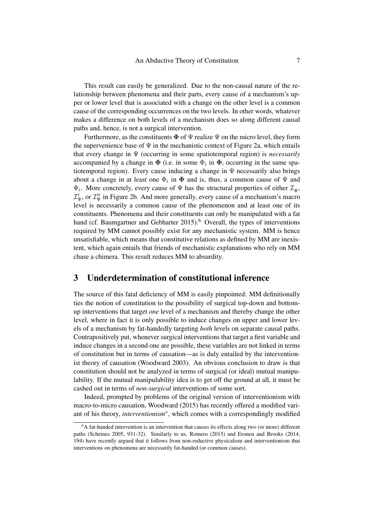This result can easily be generalized. Due to the non-causal nature of the relationship between phenomena and their parts, every cause of a mechanism's upper or lower level that is associated with a change on the other level is a common cause of the corresponding occurrences on the two levels. In other words, whatever makes a difference on both levels of a mechanism does so along different causal paths and, hence, is not a surgical intervention.

Furthermore, as the constituents  $\Phi$  of  $\Psi$  realize  $\Psi$  on the micro level, they form the supervenience base of  $\Psi$  in the mechanistic context of Figure [2a](#page-5-0), which entails that every change in Ψ (occurring in some spatiotemporal region) is *necessarily* accompanied by a change in  $\Phi$  (i.e. in some  $\Phi_i$  in  $\Phi$ , occurring in the same spatiotemporal region). Every cause inducing a change in  $\Psi$  necessarily also brings about a change in at least one  $\Phi_i$  in  $\Phi$  and is, thus, a common cause of  $\Psi$  and  $\Phi_i$ . More concretely, every cause of  $\Psi$  has the structural properties of either  $\mathcal{I}_{\Psi}$ ,  $\mathcal{I}'_{\Psi}$ , or  $\mathcal{I}''_{\Psi}$  in Figure [2b](#page-5-0). And more generally, every cause of a mechanism's macro level is necessarily a common cause of the phenomenon and at least one of its constituents. Phenomena and their constituents can only be manipulated with a fat hand (cf. [Baumgartner and Gebharter 2015\)](#page-17-6).<sup>[6](#page-6-1)</sup> Overall, the types of interventions required by [MM](#page-4-1) cannot possibly exist for any mechanistic system. [MM](#page-4-1) is hence unsatisfiable, which means that constitutive relations as defined by [MM](#page-4-1) are inexistent, which again entails that friends of mechanistic explanations who rely on [MM](#page-4-1) chase a chimera. This result reduces [MM](#page-4-1) to absurdity.

#### <span id="page-6-0"></span>3 Underdetermination of constitutional inference

The source of this fatal deficiency of [MM](#page-4-1) is easily pinpointed: [MM](#page-4-1) definitionally ties the notion of constitution to the possibility of surgical top-down and bottomup interventions that target *one* level of a mechanism and thereby change the other level, where in fact it is only possible to induce changes on upper and lower levels of a mechanism by fat-handedly targeting *both* levels on separate causal paths. Contrapositively put, whenever surgical interventions that target a first variable and induce changes in a second one are possible, these variables are not linked in terms of constitution but in terms of causation—as is duly entailed by the interventionist theory of causation [\(Woodward 2003\)](#page-17-5). An obvious conclusion to draw is that constitution should not be analyzed in terms of surgical (or ideal) mutual manipulability. If the mutual manipulability idea is to get off the ground at all, it must be cashed out in terms of *non-surgical* interventions of some sort.

Indeed, prompted by problems of the original version of interventionism with macro-to-micro causation, [Woodward \(2015\)](#page-17-15) has recently offered a modified variant of his theory, *interventionism*<sup>∗</sup> , which comes with a correspondingly modified

<span id="page-6-1"></span> ${}^{6}$ A fat-handed intervention is an intervention that causes its effects along two (or more) different paths [\(Scheines 2005,](#page-17-16) 931-32). Similarly to us, [Romero \(2015\)](#page-17-17) and [Eronen and Brooks \(2014,](#page-17-18) 194) have recently argued that it follows from non-reductive physicalism and interventionism that interventions on phenomena are necessarily fat-handed (or common causes).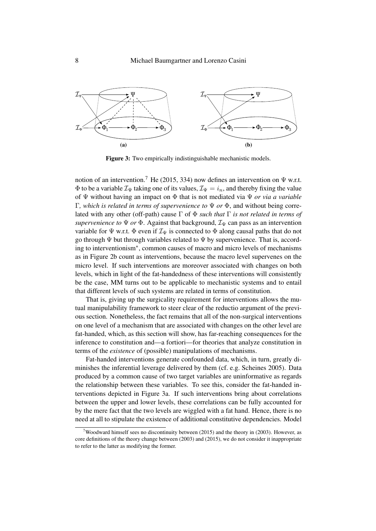<span id="page-7-1"></span>

Figure 3: Two empirically indistinguishable mechanistic models.

notion of an intervention.<sup>[7](#page-7-0)</sup> He [\(2015,](#page-17-15) 334) now defines an intervention on  $\Psi$  w.r.t.  $\Phi$  to be a variable  $\mathcal{I}_{\Psi}$  taking one of its values,  $\mathcal{I}_{\Psi} = i_n$ , and thereby fixing the value of Ψ without having an impact on Φ that is not mediated via Ψ *or via a variable* Γ*, which is related in terms of supervenience to* Ψ *or* Φ, and without being correlated with any other (off-path) cause Γ of Φ *such that* Γ *is not related in terms of supervenience to*  $\Psi$  *or*  $\Phi$ . Against that background,  $\mathcal{I}_{\Psi}$  can pass as an intervention variable for  $\Psi$  w.r.t.  $\Phi$  even if  $\mathcal{I}_{\Psi}$  is connected to  $\Phi$  along causal paths that do not go through  $\Psi$  but through variables related to  $\Psi$  by supervenience. That is, according to interventionism<sup>∗</sup> , common causes of macro and micro levels of mechanisms as in Figure [2b](#page-5-0) count as interventions, because the macro level supervenes on the micro level. If such interventions are moreover associated with changes on both levels, which in light of the fat-handedness of these interventions will consistently be the case, [MM](#page-4-1) turns out to be applicable to mechanistic systems and to entail that different levels of such systems are related in terms of constitution.

That is, giving up the surgicality requirement for interventions allows the mutual manipulability framework to steer clear of the reductio argument of the previous section. Nonetheless, the fact remains that all of the non-surgical interventions on one level of a mechanism that are associated with changes on the other level are fat-handed, which, as this section will show, has far-reaching consequences for the inference to constitution and—a fortiori—for theories that analyze constitution in terms of the *existence* of (possible) manipulations of mechanisms.

Fat-handed interventions generate confounded data, which, in turn, greatly diminishes the inferential leverage delivered by them (cf. e.g. [Scheines 2005\)](#page-17-16). Data produced by a common cause of two target variables are uninformative as regards the relationship between these variables. To see this, consider the fat-handed interventions depicted in Figure [3a](#page-7-1). If such interventions bring about correlations between the upper and lower levels, these correlations can be fully accounted for by the mere fact that the two levels are wiggled with a fat hand. Hence, there is no need at all to stipulate the existence of additional constitutive dependencies. Model

<span id="page-7-0"></span><sup>&</sup>lt;sup>7</sup>Woodward himself sees no discontinuity between [\(2015\)](#page-17-15) and the theory in [\(2003\)](#page-17-5). However, as core definitions of the theory change between [\(2003\)](#page-17-5) and [\(2015\)](#page-17-15), we do not consider it inappropriate to refer to the latter as modifying the former.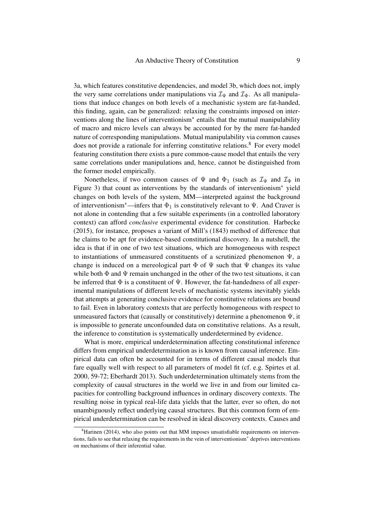[3a](#page-7-1), which features constitutive dependencies, and model [3b](#page-7-1), which does not, imply the very same correlations under manipulations via  $\mathcal{I}_{\Psi}$  and  $\mathcal{I}_{\Phi}$ . As all manipulations that induce changes on both levels of a mechanistic system are fat-handed, this finding, again, can be generalized: relaxing the constraints imposed on interventions along the lines of interventionism<sup>∗</sup> entails that the mutual manipulability of macro and micro levels can always be accounted for by the mere fat-handed nature of corresponding manipulations. Mutual manipulability via common causes does not provide a rationale for inferring constitutive relations.<sup>[8](#page-8-0)</sup> For every model featuring constitution there exists a pure common-cause model that entails the very same correlations under manipulations and, hence, cannot be distinguished from the former model empirically.

Nonetheless, if two common causes of  $\Psi$  and  $\Phi_1$  (such as  $\mathcal{I}_{\Psi}$  and  $\mathcal{I}_{\Phi}$  in Figure [3\)](#page-7-1) that count as interventions by the standards of interventionism<sup>∗</sup> yield changes on both levels of the system, [MM—](#page-4-1)interpreted against the background of interventionism<sup>∗</sup>—infers that  $\Phi_1$  is constitutively relevant to  $\Psi$ . And Craver is not alone in contending that a few suitable experiments (in a controlled laboratory context) can afford *conclusive* experimental evidence for constitution. [Harbecke](#page-17-19) [\(2015\)](#page-17-19), for instance, proposes a variant of Mill's [\(1843\)](#page-17-4) method of difference that he claims to be apt for evidence-based constitutional discovery. In a nutshell, the idea is that if in one of two test situations, which are homogeneous with respect to instantiations of unmeasured constituents of a scrutinized phenomenon Ψ, a change is induced on a mereological part  $\Phi$  of  $\Psi$  such that  $\Psi$  changes its value while both  $\Phi$  and  $\Psi$  remain unchanged in the other of the two test situations, it can be inferred that  $\Phi$  is a constituent of  $\Psi$ . However, the fat-handedness of all experimental manipulations of different levels of mechanistic systems inevitably yields that attempts at generating conclusive evidence for constitutive relations are bound to fail. Even in laboratory contexts that are perfectly homogeneous with respect to unmeasured factors that (causally or constitutively) determine a phenomenon  $\Psi$ , it is impossible to generate unconfounded data on constitutive relations. As a result, the inference to constitution is systematically underdetermined by evidence.

What is more, empirical underdetermination affecting constitutional inference differs from empirical underdetermination as is known from causal inference. Empirical data can often be accounted for in terms of different causal models that fare equally well with respect to all parameters of model fit (cf. e.g. [Spirtes et al.](#page-17-20) [2000,](#page-17-20) 59-72; [Eberhardt 2013\)](#page-17-21). Such underdetermination ultimately stems from the complexity of causal structures in the world we live in and from our limited capacities for controlling background influences in ordinary discovery contexts. The resulting noise in typical real-life data yields that the latter, ever so often, do not unambiguously reflect underlying causal structures. But this common form of empirical underdetermination can be resolved in ideal discovery contexts. Causes and

<span id="page-8-0"></span> ${}^{8}$ [Harinen \(2014\)](#page-17-22), who also points out that [MM](#page-4-1) imposes unsatisfiable requirements on interventions, fails to see that relaxing the requirements in the vein of interventionism<sup>∗</sup> deprives interventions on mechanisms of their inferential value.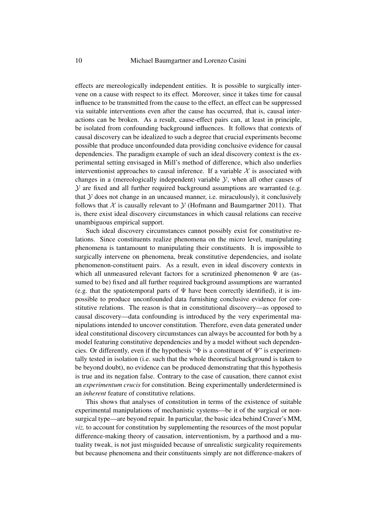effects are mereologically independent entities. It is possible to surgically intervene on a cause with respect to its effect. Moreover, since it takes time for causal influence to be transmitted from the cause to the effect, an effect can be suppressed via suitable interventions even after the cause has occurred, that is, causal interactions can be broken. As a result, cause-effect pairs can, at least in principle, be isolated from confounding background influences. It follows that contexts of causal discovery can be idealized to such a degree that crucial experiments become possible that produce unconfounded data providing conclusive evidence for causal dependencies. The paradigm example of such an ideal discovery context is the experimental setting envisaged in Mill's method of difference, which also underlies interventionist approaches to causal inference. If a variable  $X$  is associated with changes in a (mereologically independent) variable  $\mathcal{Y}$ , when all other causes of  $\mathcal Y$  are fixed and all further required background assumptions are warranted (e.g. that  $Y$  does not change in an uncaused manner, i.e. miraculously), it conclusively follows that  $X$  is causally relevant to  $Y$  [\(Hofmann and Baumgartner 2011\)](#page-17-23). That is, there exist ideal discovery circumstances in which causal relations can receive unambiguous empirical support.

Such ideal discovery circumstances cannot possibly exist for constitutive relations. Since constituents realize phenomena on the micro level, manipulating phenomena is tantamount to manipulating their constituents. It is impossible to surgically intervene on phenomena, break constitutive dependencies, and isolate phenomenon-constituent pairs. As a result, even in ideal discovery contexts in which all unmeasured relevant factors for a scrutinized phenomenon  $\Psi$  are (assumed to be) fixed and all further required background assumptions are warranted (e.g. that the spatiotemporal parts of  $\Psi$  have been correctly identified), it is impossible to produce unconfounded data furnishing conclusive evidence for constitutive relations. The reason is that in constitutional discovery—as opposed to causal discovery—data confounding is introduced by the very experimental manipulations intended to uncover constitution. Therefore, even data generated under ideal constitutional discovery circumstances can always be accounted for both by a model featuring constitutive dependencies and by a model without such dependencies. Or differently, even if the hypothesis " $\Phi$  is a constituent of  $\Psi$ " is experimentally tested in isolation (i.e. such that the whole theoretical background is taken to be beyond doubt), no evidence can be produced demonstrating that this hypothesis is true and its negation false. Contrary to the case of causation, there cannot exist an *experimentum crucis* for constitution. Being experimentally underdetermined is an *inherent* feature of constitutive relations.

This shows that analyses of constitution in terms of the existence of suitable experimental manipulations of mechanistic systems—be it of the surgical or nonsurgical type—are beyond repair. In particular, the basic idea behind Craver's [MM,](#page-4-1) *viz.* to account for constitution by supplementing the resources of the most popular difference-making theory of causation, interventionism, by a parthood and a mutuality tweak, is not just misguided because of unrealistic surgicality requirements but because phenomena and their constituents simply are not difference-makers of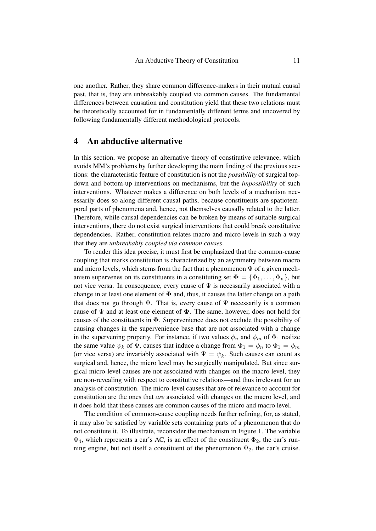one another. Rather, they share common difference-makers in their mutual causal past, that is, they are unbreakably coupled via common causes. The fundamental differences between causation and constitution yield that these two relations must be theoretically accounted for in fundamentally different terms and uncovered by following fundamentally different methodological protocols.

# <span id="page-10-0"></span>4 An abductive alternative

In this section, we propose an alternative theory of constitutive relevance, which avoids [MM'](#page-4-1)s problems by further developing the main finding of the previous sections: the characteristic feature of constitution is not the *possibility* of surgical topdown and bottom-up interventions on mechanisms, but the *impossibility* of such interventions. Whatever makes a difference on both levels of a mechanism necessarily does so along different causal paths, because constituents are spatiotemporal parts of phenomena and, hence, not themselves causally related to the latter. Therefore, while causal dependencies can be broken by means of suitable surgical interventions, there do not exist surgical interventions that could break constitutive dependencies. Rather, constitution relates macro and micro levels in such a way that they are *unbreakably coupled via common causes*.

To render this idea precise, it must first be emphasized that the common-cause coupling that marks constitution is characterized by an asymmetry between macro and micro levels, which stems from the fact that a phenomenon  $\Psi$  of a given mechanism supervenes on its constituents in a constituting set  $\Phi = {\Phi_1, \ldots, \Phi_n}$ , but not vice versa. In consequence, every cause of  $\Psi$  is necessarily associated with a change in at least one element of  $\Phi$  and, thus, it causes the latter change on a path that does not go through  $\Psi$ . That is, every cause of  $\Psi$  necessarily is a common cause of  $\Psi$  and at least one element of  $\Phi$ . The same, however, does not hold for causes of the constituents in  $\Phi$ . Supervenience does not exclude the possibility of causing changes in the supervenience base that are not associated with a change in the supervening property. For instance, if two values  $\phi_n$  and  $\phi_m$  of  $\Phi_1$  realize the same value  $\psi_k$  of  $\Psi$ , causes that induce a change from  $\Phi_1 = \phi_n$  to  $\Phi_1 = \phi_m$ (or vice versa) are invariably associated with  $\Psi = \psi_k$ . Such causes can count as surgical and, hence, the micro level may be surgically manipulated. But since surgical micro-level causes are not associated with changes on the macro level, they are non-revealing with respect to constitutive relations—and thus irrelevant for an analysis of constitution. The micro-level causes that are of relevance to account for constitution are the ones that *are* associated with changes on the macro level, and it does hold that these causes are common causes of the micro and macro level.

The condition of common-cause coupling needs further refining, for, as stated, it may also be satisfied by variable sets containing parts of a phenomenon that do not constitute it. To illustrate, reconsider the mechanism in Figure [1.](#page-3-0) The variable  $\Phi_4$ , which represents a car's AC, is an effect of the constituent  $\Phi_2$ , the car's running engine, but not itself a constituent of the phenomenon  $\Psi_2$ , the car's cruise.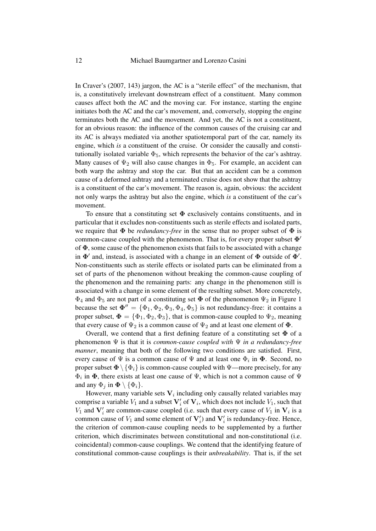In Craver's [\(2007,](#page-17-0) 143) jargon, the AC is a "sterile effect" of the mechanism, that is, a constitutively irrelevant downstream effect of a constituent. Many common causes affect both the AC and the moving car. For instance, starting the engine initiates both the AC and the car's movement, and, conversely, stopping the engine terminates both the AC and the movement. And yet, the AC is not a constituent, for an obvious reason: the influence of the common causes of the cruising car and its AC is always mediated via another spatiotemporal part of the car, namely its engine, which *is* a constituent of the cruise. Or consider the causally and constitutionally isolated variable  $\Phi_5$ , which represents the behavior of the car's ashtray. Many causes of  $\Psi_2$  will also cause changes in  $\Phi_5$ . For example, an accident can both warp the ashtray and stop the car. But that an accident can be a common cause of a deformed ashtray and a terminated cruise does not show that the ashtray is a constituent of the car's movement. The reason is, again, obvious: the accident not only warps the ashtray but also the engine, which *is* a constituent of the car's movement.

To ensure that a constituting set  $\Phi$  exclusively contains constituents, and in particular that it excludes non-constituents such as sterile effects and isolated parts, we require that  $\Phi$  be *redundancy-free* in the sense that no proper subset of  $\Phi$  is common-cause coupled with the phenomenon. That is, for every proper subset  $\Phi'$ of  $\Phi$ , some cause of the phenomenon exists that fails to be associated with a change in  $\Phi'$  and, instead, is associated with a change in an element of  $\Phi$  outside of  $\Phi'$ . Non-constituents such as sterile effects or isolated parts can be eliminated from a set of parts of the phenomenon without breaking the common-cause coupling of the phenomenon and the remaining parts: any change in the phenomenon still is associated with a change in some element of the resulting subset. More concretely,  $\Phi_4$  and  $\Phi_5$  are not part of a constituting set  $\Phi$  of the phenomenon  $\Psi_2$  in Figure [1](#page-3-0) because the set  $\Phi'' = {\Phi_1, \Phi_2, \Phi_3, \Phi_4, \Phi_5}$  is not redundancy-free: it contains a proper subset,  $\Phi = {\Phi_1, \Phi_2, \Phi_3}$ , that is common-cause coupled to  $\Psi_2$ , meaning that every cause of  $\Psi_2$  is a common cause of  $\Psi_2$  and at least one element of  $\Phi$ .

Overall, we contend that a first defining feature of a constituting set  $\Phi$  of a phenomenon Ψ is that it is *common-cause coupled with* Ψ *in a redundancy-free manner*, meaning that both of the following two conditions are satisfied. First, every cause of  $\Psi$  is a common cause of  $\Psi$  and at least one  $\Phi_i$  in  $\Phi$ . Second, no proper subset  $\Phi \setminus {\Phi_i}$  is common-cause coupled with  $\Psi$ —more precisely, for any  $\Phi_i$  in  $\Phi$ , there exists at least one cause of  $\Psi$ , which is not a common cause of  $\Psi$ and any  $\Phi_i$  in  $\Phi \setminus {\Phi_i}$ .

However, many variable sets  $V_i$  including only causally related variables may comprise a variable  $V_1$  and a subset  $\mathbf{V}'_i$  of  $\mathbf{V}_i$ , which does not include  $V_1$ , such that  $V_1$  and  $V'_i$  are common-cause coupled (i.e. such that every cause of  $V_1$  in  $V_i$  is a common cause of  $V_1$  and some element of  $V_i'$  and  $V_i'$  is redundancy-free. Hence, the criterion of common-cause coupling needs to be supplemented by a further criterion, which discriminates between constitutional and non-constitutional (i.e. coincidental) common-cause couplings. We contend that the identifying feature of constitutional common-cause couplings is their *unbreakability*. That is, if the set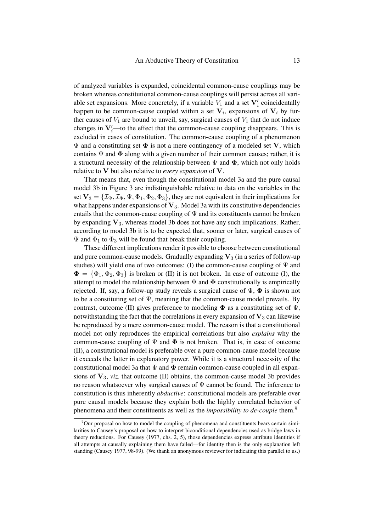of analyzed variables is expanded, coincidental common-cause couplings may be broken whereas constitutional common-cause couplings will persist across all variable set expansions. More concretely, if a variable  $V_1$  and a set  $V'_i$  coincidentally happen to be common-cause coupled within a set  $V_i$ , expansions of  $V_i$  by further causes of  $V_1$  are bound to unveil, say, surgical causes of  $V_1$  that do not induce changes in  $V_i'$ —to the effect that the common-cause coupling disappears. This is excluded in cases of constitution. The common-cause coupling of a phenomenon  $\Psi$  and a constituting set  $\Phi$  is not a mere contingency of a modeled set V, which contains  $\Psi$  and  $\Phi$  along with a given number of their common causes; rather, it is a structural necessity of the relationship between  $\Psi$  and  $\Phi$ , which not only holds relative to V but also relative to *every expansion* of V.

That means that, even though the constitutional model [3a](#page-7-1) and the pure causal model [3b](#page-7-1) in Figure [3](#page-7-1) are indistinguishable relative to data on the variables in the set  $V_3 = \{I_\Psi, I_\Phi, \Psi, \Phi_1, \Phi_2, \Phi_3\}$ , they are not equivalent in their implications for what happens under expansions of  $V_3$ . Model [3a](#page-7-1) with its constitutive dependencies entails that the common-cause coupling of  $\Psi$  and its constituents cannot be broken by expanding  $V_3$ , whereas model [3b](#page-7-1) does not have any such implications. Rather, according to model [3b](#page-7-1) it is to be expected that, sooner or later, surgical causes of  $\Psi$  and  $\Phi_1$  to  $\Phi_3$  will be found that break their coupling.

These different implications render it possible to choose between constitutional and pure common-cause models. Gradually expanding  $V_3$  (in a series of follow-up studies) will yield one of two outcomes: (I) the common-cause coupling of  $\Psi$  and  $\Phi = {\Phi_1, \Phi_2, \Phi_3}$  is broken or (II) it is not broken. In case of outcome (I), the attempt to model the relationship between  $\Psi$  and  $\Phi$  constitutionally is empirically rejected. If, say, a follow-up study reveals a surgical cause of  $\Psi$ ,  $\Phi$  is shown not to be a constituting set of  $\Psi$ , meaning that the common-cause model prevails. By contrast, outcome (II) gives preference to modeling  $\Phi$  as a constituting set of  $\Psi$ . notwithstanding the fact that the correlations in every expansion of  $V_3$  can likewise be reproduced by a mere common-cause model. The reason is that a constitutional model not only reproduces the empirical correlations but also *explains* why the common-cause coupling of  $\Psi$  and  $\Phi$  is not broken. That is, in case of outcome (II), a constitutional model is preferable over a pure common-cause model because it exceeds the latter in explanatory power. While it is a structural necessity of the constitutional model [3a](#page-7-1) that  $\Psi$  and  $\Phi$  remain common-cause coupled in all expansions of  $V_3$ , *viz.* that outcome (II) obtains, the common-cause model [3b](#page-7-1) provides no reason whatsoever why surgical causes of  $\Psi$  cannot be found. The inference to constitution is thus inherently *abductive*: constitutional models are preferable over pure causal models because they explain both the highly correlated behavior of phenomena and their constituents as well as the *impossibility to de-couple* them.[9](#page-12-0)

<span id="page-12-0"></span> $9$ Our proposal on how to model the coupling of phenomena and constituents bears certain similarities to Causey's proposal on how to interpret biconditional dependencies used as bridge laws in theory reductions. For [Causey \(1977,](#page-17-24) chs. 2, 5), those dependencies express attribute identities if all attempts at causally explaining them have failed—for identity then is the only explanation left standing [\(Causey 1977,](#page-17-24) 98-99). (We thank an anonymous reviewer for indicating this parallel to us.)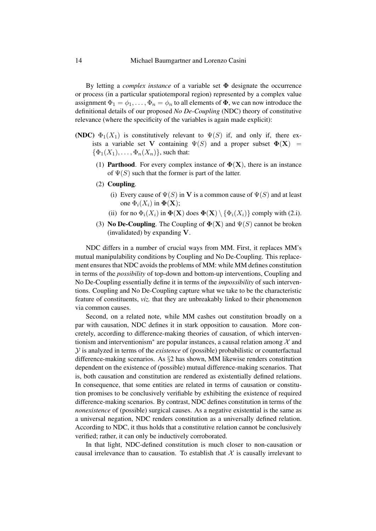By letting a *complex instance* of a variable set Φ designate the occurrence or process (in a particular spatiotemporal region) represented by a complex value assignment  $\Phi_1 = \phi_1, \dots, \Phi_n = \phi_n$  to all elements of  $\Phi$ , we can now introduce the definitional details of our proposed *No De-Coupling* [\(NDC\)](#page-13-0) theory of constitutive relevance (where the specificity of the variables is again made explicit):

- <span id="page-13-0"></span>(NDC)  $\Phi_1(X_1)$  is constitutively relevant to  $\Psi(S)$  if, and only if, there exists a variable set V containing  $\Psi(S)$  and a proper subset  $\Phi(\mathbf{X})$  =  $\{\Phi_1(X_1), \ldots, \Phi_n(X_n)\}\)$ , such that:
	- (1) **Parthood.** For every complex instance of  $\Phi(X)$ , there is an instance of  $\Psi(S)$  such that the former is part of the latter.
	- (2) Coupling.
		- (i) Every cause of  $\Psi(S)$  in V is a common cause of  $\Psi(S)$  and at least one  $\Phi_i(X_i)$  in  $\Phi(\mathbf{X});$
		- (ii) for no  $\Phi_i(X_i)$  in  $\Phi(\mathbf{X})$  does  $\Phi(\mathbf{X}) \setminus \{\Phi_i(X_i)\}\)$  comply with (2.i).
	- (3) No De-Coupling. The Coupling of  $\Phi(X)$  and  $\Psi(S)$  cannot be broken (invalidated) by expanding V.

[NDC](#page-13-0) differs in a number of crucial ways from [MM.](#page-4-1) First, it replaces [MM'](#page-4-1)s mutual manipulability conditions by [Coupling](#page-13-0) and [No De-Coupling.](#page-13-0) This replacement ensures that [NDC](#page-13-0) avoids the problems of [MM:](#page-4-1) while [MM](#page-4-1) defines constitution in terms of the *possibility* of top-down and bottom-up interventions, [Coupling](#page-13-0) and [No De-Coupling](#page-13-0) essentially define it in terms of the *impossibility* of such interventions. [Coupling](#page-13-0) and [No De-Coupling](#page-13-0) capture what we take to be the characteristic feature of constituents, *viz.* that they are unbreakably linked to their phenomenon via common causes.

Second, on a related note, while [MM](#page-4-1) cashes out constitution broadly on a par with causation, [NDC](#page-13-0) defines it in stark opposition to causation. More concretely, according to difference-making theories of causation, of which interventionism and interventionism<sup>∗</sup> are popular instances, a causal relation among  $\mathcal{X}$  and Y is analyzed in terms of the *existence* of (possible) probabilistic or counterfactual difference-making scenarios. As §[2](#page-2-0) has shown, [MM](#page-4-1) likewise renders constitution dependent on the existence of (possible) mutual difference-making scenarios. That is, both causation and constitution are rendered as existentially defined relations. In consequence, that some entities are related in terms of causation or constitution promises to be conclusively verifiable by exhibiting the existence of required difference-making scenarios. By contrast, [NDC](#page-13-0) defines constitution in terms of the *nonexistence* of (possible) surgical causes. As a negative existential is the same as a universal negation, [NDC](#page-13-0) renders constitution as a universally defined relation. According to [NDC,](#page-13-0) it thus holds that a constitutive relation cannot be conclusively verified; rather, it can only be inductively corroborated.

In that light, [NDC-](#page-13-0)defined constitution is much closer to non-causation or causal irrelevance than to causation. To establish that  $X$  is causally irrelevant to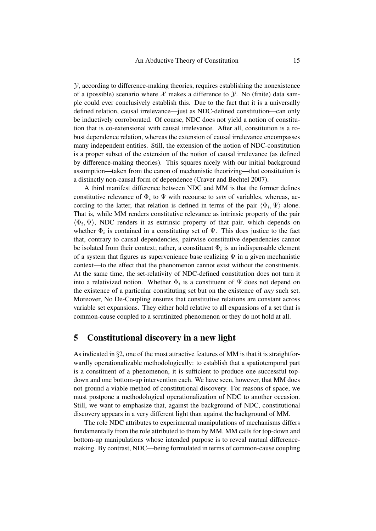$Y$ , according to difference-making theories, requires establishing the nonexistence of a (possible) scenario where X makes a difference to  $\mathcal{Y}$ . No (finite) data sample could ever conclusively establish this. Due to the fact that it is a universally defined relation, causal irrelevance—just as [NDC-](#page-13-0)defined constitution—can only be inductively corroborated. Of course, [NDC](#page-13-0) does not yield a notion of constitution that is co-extensional with causal irrelevance. After all, constitution is a robust dependence relation, whereas the extension of causal irrelevance encompasses many independent entities. Still, the extension of the notion of [NDC-](#page-13-0)constitution is a proper subset of the extension of the notion of causal irrelevance (as defined by difference-making theories). This squares nicely with our initial background assumption—taken from the canon of mechanistic theorizing—that constitution is a distinctly non-causal form of dependence [\(Craver and Bechtel 2007\)](#page-17-3).

A third manifest difference between [NDC](#page-13-0) and [MM](#page-4-1) is that the former defines constitutive relevance of  $\Phi_i$  to  $\Psi$  with recourse to *sets* of variables, whereas, according to the latter, that relation is defined in terms of the pair  $\langle \Phi_i, \Psi \rangle$  alone. That is, while [MM](#page-4-1) renders constitutive relevance as intrinsic property of the pair  $\langle \Phi_i, \Psi \rangle$ , [NDC](#page-13-0) renders it as extrinsic property of that pair, which depends on whether  $\Phi_i$  is contained in a constituting set of  $\Psi$ . This does justice to the fact that, contrary to causal dependencies, pairwise constitutive dependencies cannot be isolated from their context; rather, a constituent  $\Phi_i$  is an indispensable element of a system that figures as supervenience base realizing  $\Psi$  in a given mechanistic context—to the effect that the phenomenon cannot exist without the constituents. At the same time, the set-relativity of [NDC-](#page-13-0)defined constitution does not turn it into a relativized notion. Whether  $\Phi_i$  is a constituent of  $\Psi$  does not depend on the existence of a particular constituting set but on the existence of *any* such set. Moreover, [No De-Coupling](#page-13-0) ensures that constitutive relations are constant across variable set expansions. They either hold relative to all expansions of a set that is common-cause coupled to a scrutinized phenomenon or they do not hold at all.

#### <span id="page-14-0"></span>5 Constitutional discovery in a new light

As indicated in §[2,](#page-2-0) one of the most attractive features of [MM](#page-4-1) is that it is straightforwardly operationalizable methodologically: to establish that a spatiotemporal part is a constituent of a phenomenon, it is sufficient to produce one successful topdown and one bottom-up intervention each. We have seen, however, that [MM](#page-4-1) does not ground a viable method of constitutional discovery. For reasons of space, we must postpone a methodological operationalization of [NDC](#page-13-0) to another occasion. Still, we want to emphasize that, against the background of [NDC,](#page-13-0) constitutional discovery appears in a very different light than against the background of [MM.](#page-4-1)

The role [NDC](#page-13-0) attributes to experimental manipulations of mechanisms differs fundamentally from the role attributed to them by [MM.](#page-4-1) [MM](#page-4-1) calls for top-down and bottom-up manipulations whose intended purpose is to reveal mutual differencemaking. By contrast, [NDC—](#page-13-0)being formulated in terms of common-cause coupling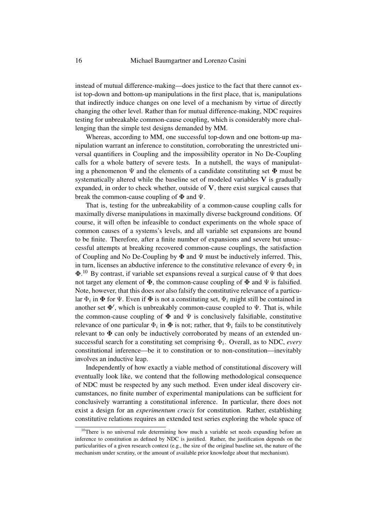instead of mutual difference-making—does justice to the fact that there cannot exist top-down and bottom-up manipulations in the first place, that is, manipulations that indirectly induce changes on one level of a mechanism by virtue of directly changing the other level. Rather than for mutual difference-making, [NDC](#page-13-0) requires testing for unbreakable common-cause coupling, which is considerably more challenging than the simple test designs demanded by [MM.](#page-4-1)

Whereas, according to [MM,](#page-4-1) one successful top-down and one bottom-up manipulation warrant an inference to constitution, corroborating the unrestricted universal quantifiers in [Coupling](#page-13-0) and the impossibility operator in [No De-Coupling](#page-13-0) calls for a whole battery of severe tests. In a nutshell, the ways of manipulating a phenomenon  $\Psi$  and the elements of a candidate constituting set  $\Phi$  must be systematically altered while the baseline set of modeled variables  $V$  is gradually expanded, in order to check whether, outside of  $V$ , there exist surgical causes that break the common-cause coupling of  $\Phi$  and  $\Psi$ .

That is, testing for the unbreakability of a common-cause coupling calls for maximally diverse manipulations in maximally diverse background conditions. Of course, it will often be infeasible to conduct experiments on the whole space of common causes of a systems's levels, and all variable set expansions are bound to be finite. Therefore, after a finite number of expansions and severe but unsuccessful attempts at breaking recovered common-cause couplings, the satisfaction of [Coupling](#page-13-0) and [No De-Coupling](#page-13-0) by  $\Phi$  and  $\Psi$  must be inductively inferred. This, in turn, licenses an abductive inference to the constitutive relevance of every  $\Phi_i$  in  $\Phi$ .<sup>[10](#page-15-0)</sup> By contrast, if variable set expansions reveal a surgical cause of  $\Psi$  that does not target any element of  $\Phi$ , the common-cause coupling of  $\Phi$  and  $\Psi$  is falsified. Note, however, that this does *not* also falsify the constitutive relevance of a particular  $\Phi_i$  in  $\boldsymbol{\Phi}$  for  $\Psi.$  Even if  $\boldsymbol{\Phi}$  is not a constituting set,  $\Phi_i$  might still be contained in another set  $\Phi'$ , which is unbreakably common-cause coupled to  $\Psi$ . That is, while the common-cause coupling of  $\Phi$  and  $\Psi$  is conclusively falsifiable, constitutive relevance of one particular  $\Phi_i$  in  $\Phi$  is not; rather, that  $\Phi_i$  fails to be constitutively relevant to  $\Phi$  can only be inductively corroborated by means of an extended unsuccessful search for a constituting set comprising  $\Phi_i$ . Overall, as to [NDC,](#page-13-0) *every* constitutional inference—be it to constitution or to non-constitution—inevitably involves an inductive leap.

Independently of how exactly a viable method of constitutional discovery will eventually look like, we contend that the following methodological consequence of [NDC](#page-13-0) must be respected by any such method. Even under ideal discovery circumstances, no finite number of experimental manipulations can be sufficient for conclusively warranting a constitutional inference. In particular, there does not exist a design for an *experimentum crucis* for constitution. Rather, establishing constitutive relations requires an extended test series exploring the whole space of

<span id="page-15-0"></span> $10$ There is no universal rule determining how much a variable set needs expanding before an inference to constitution as defined by [NDC](#page-13-0) is justified. Rather, the justification depends on the particularities of a given research context (e.g., the size of the original baseline set, the nature of the mechanism under scrutiny, or the amount of available prior knowledge about that mechanism).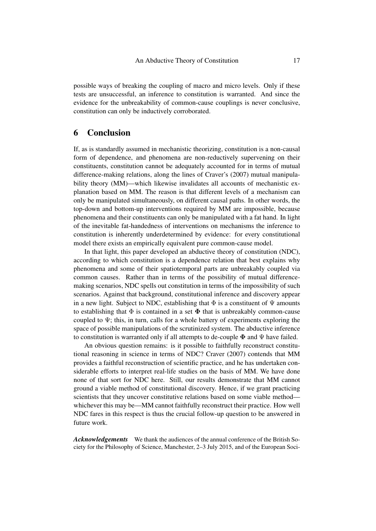possible ways of breaking the coupling of macro and micro levels. Only if these tests are unsuccessful, an inference to constitution is warranted. And since the evidence for the unbreakability of common-cause couplings is never conclusive, constitution can only be inductively corroborated.

# 6 Conclusion

If, as is standardly assumed in mechanistic theorizing, constitution is a non-causal form of dependence, and phenomena are non-reductively supervening on their constituents, constitution cannot be adequately accounted for in terms of mutual difference-making relations, along the lines of Craver's [\(2007\)](#page-17-0) mutual manipulability theory [\(MM\)](#page-4-1)—which likewise invalidates all accounts of mechanistic explanation based on [MM.](#page-4-1) The reason is that different levels of a mechanism can only be manipulated simultaneously, on different causal paths. In other words, the top-down and bottom-up interventions required by [MM](#page-4-1) are impossible, because phenomena and their constituents can only be manipulated with a fat hand. In light of the inevitable fat-handedness of interventions on mechanisms the inference to constitution is inherently underdetermined by evidence: for every constitutional model there exists an empirically equivalent pure common-cause model.

In that light, this paper developed an abductive theory of constitution [\(NDC\)](#page-13-0), according to which constitution is a dependence relation that best explains why phenomena and some of their spatiotemporal parts are unbreakably coupled via common causes. Rather than in terms of the possibility of mutual differencemaking scenarios, [NDC](#page-13-0) spells out constitution in terms of the impossibility of such scenarios. Against that background, constitutional inference and discovery appear in a new light. Subject to [NDC,](#page-13-0) establishing that  $\Phi$  is a constituent of  $\Psi$  amounts to establishing that  $\Phi$  is contained in a set  $\Phi$  that is unbreakably common-cause coupled to  $\Psi$ ; this, in turn, calls for a whole battery of experiments exploring the space of possible manipulations of the scrutinized system. The abductive inference to constitution is warranted only if all attempts to de-couple  $\Phi$  and  $\Psi$  have failed.

An obvious question remains: is it possible to faithfully reconstruct constitutional reasoning in science in terms of [NDC?](#page-13-0) [Craver \(2007\)](#page-17-0) contends that [MM](#page-4-1) provides a faithful reconstruction of scientific practice, and he has undertaken considerable efforts to interpret real-life studies on the basis of [MM.](#page-4-1) We have done none of that sort for [NDC](#page-13-0) here. Still, our results demonstrate that [MM](#page-4-1) cannot ground a viable method of constitutional discovery. Hence, if we grant practicing scientists that they uncover constitutive relations based on some viable method whichever this may be[—MM](#page-4-1) cannot faithfully reconstruct their practice. How well [NDC](#page-13-0) fares in this respect is thus the crucial follow-up question to be answered in future work.

*Acknowledgements* We thank the audiences of the annual conference of the British Society for the Philosophy of Science, Manchester, 2–3 July 2015, and of the European Soci